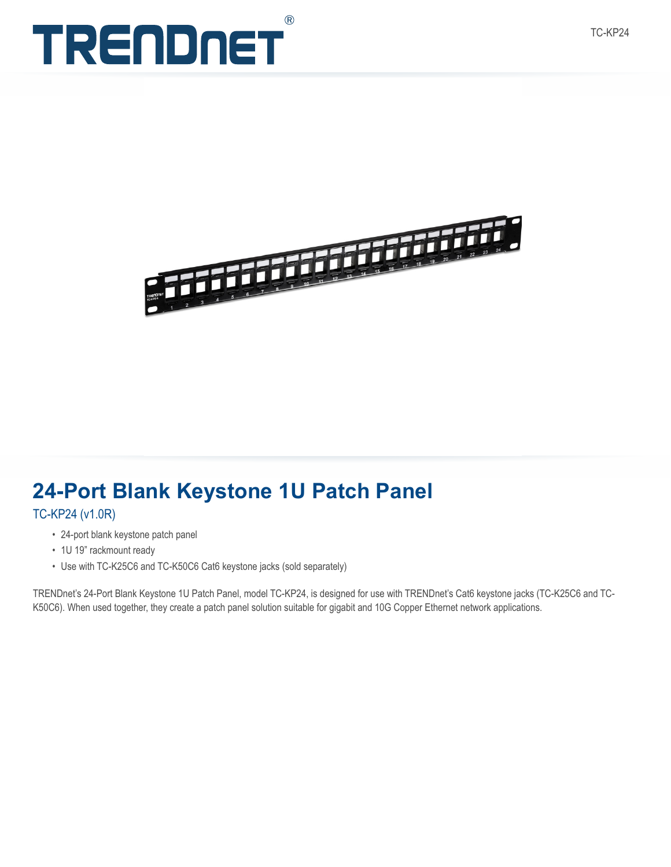



## **24-Port Blank Keystone 1U Patch Panel**

TC-KP24 (v1.0R)

- 24-port blank keystone patch panel
- 1U 19" rackmount ready
- Use with TC-K25C6 and TC-K50C6 Cat6 keystone jacks (sold separately)

TRENDnet's 24-Port Blank Keystone 1U Patch Panel, model TC-KP24, is designed for use with TRENDnet's Cat6 keystone jacks (TC-K25C6 and TC-K50C6). When used together, they create a patch panel solution suitable for gigabit and 10G Copper Ethernet network applications.